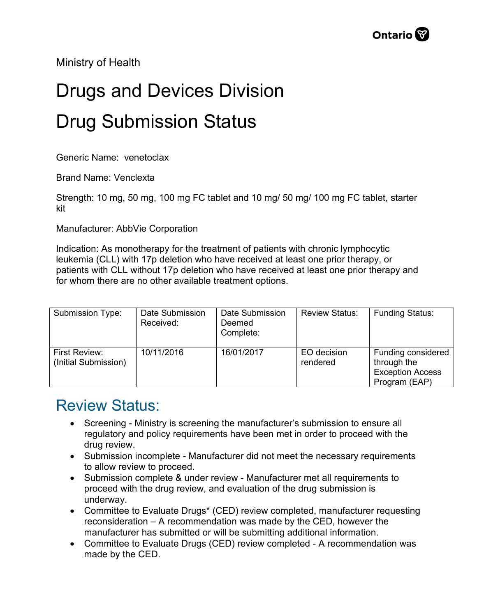Ministry of Health

## Drugs and Devices Division Drug Submission Status

Generic Name: venetoclax

Brand Name: Venclexta

Strength: 10 mg, 50 mg, 100 mg FC tablet and 10 mg/ 50 mg/ 100 mg FC tablet, starter kit

Manufacturer: AbbVie Corporation

Indication: As monotherapy for the treatment of patients with chronic lymphocytic leukemia (CLL) with 17p deletion who have received at least one prior therapy, or patients with CLL without 17p deletion who have received at least one prior therapy and for whom there are no other available treatment options.

| Submission Type:                      | Date Submission<br>Received: | Date Submission<br>Deemed<br>Complete: | <b>Review Status:</b>   | <b>Funding Status:</b>                                                        |
|---------------------------------------|------------------------------|----------------------------------------|-------------------------|-------------------------------------------------------------------------------|
| First Review:<br>(Initial Submission) | 10/11/2016                   | 16/01/2017                             | EO decision<br>rendered | Funding considered<br>through the<br><b>Exception Access</b><br>Program (EAP) |

## Review Status:

- Screening Ministry is screening the manufacturer's submission to ensure all regulatory and policy requirements have been met in order to proceed with the drug review.
- Submission incomplete Manufacturer did not meet the necessary requirements to allow review to proceed.
- Submission complete & under review Manufacturer met all requirements to proceed with the drug review, and evaluation of the drug submission is underway.
- Committee to Evaluate Drugs\* (CED) review completed, manufacturer requesting reconsideration – A recommendation was made by the CED, however the manufacturer has submitted or will be submitting additional information.
- Committee to Evaluate Drugs (CED) review completed A recommendation was made by the CED.